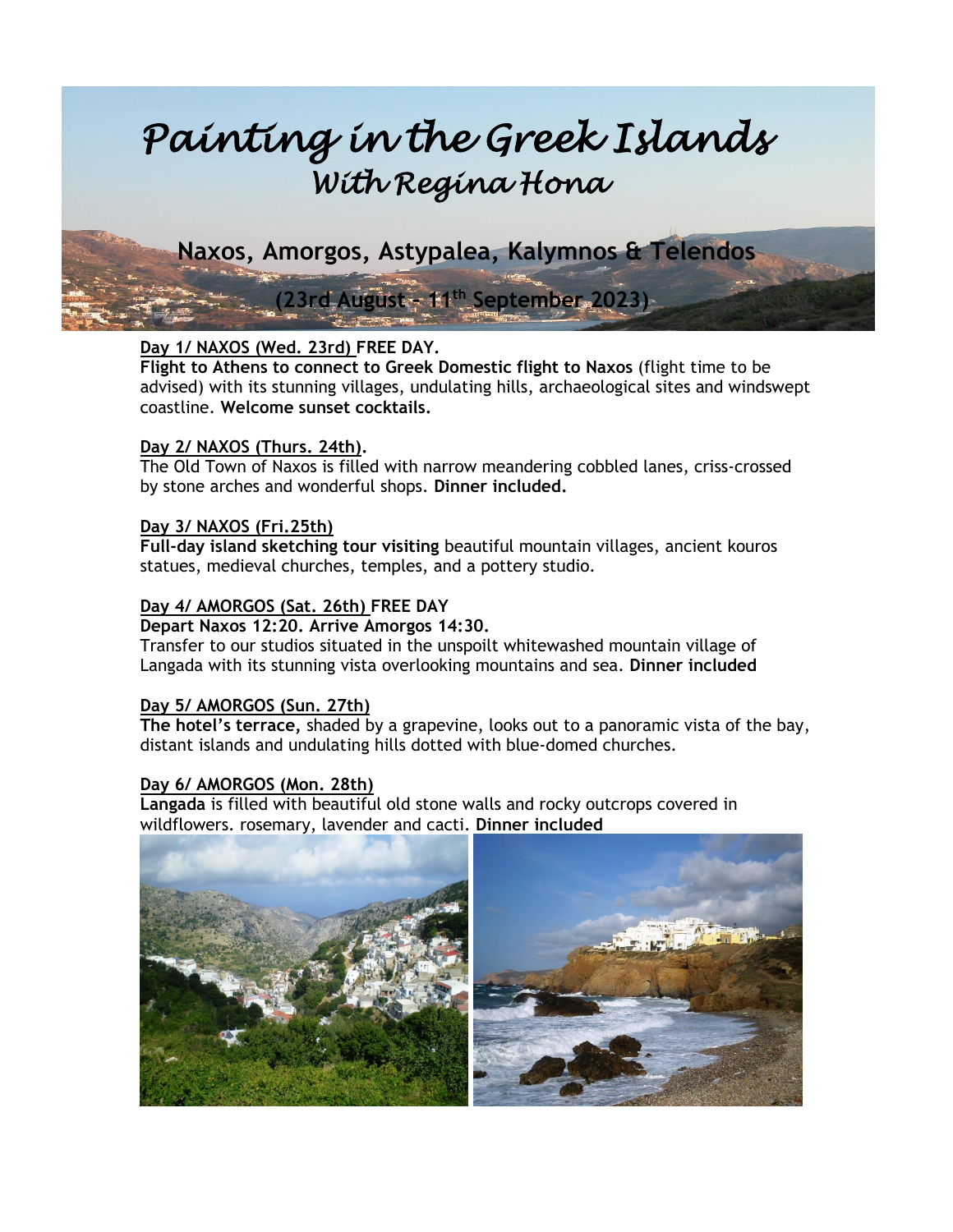# *Painting in the Greek Islands With Regina Hona*

 **Naxos, Amorgos, Astypalea, Kalymnos & Telendos**

# **(23rd August – 11th September 2023)**

# **Day 1/ NAXOS (Wed. 23rd) FREE DAY.**

**Flight to Athens to connect to Greek Domestic flight to Naxos** (flight time to be advised) with its stunning villages, undulating hills, archaeological sites and windswept coastline. **Welcome sunset cocktails.**

### **Day 2/ NAXOS (Thurs. 24th).**

The Old Town of Naxos is filled with narrow meandering cobbled lanes, criss-crossed by stone arches and wonderful shops. **Dinner included.**

# **Day 3/ NAXOS (Fri.25th)**

**Full-day island sketching tour visiting** beautiful mountain villages, ancient kouros statues, medieval churches, temples, and a pottery studio.

# **Day 4/ AMORGOS (Sat. 26th) FREE DAY**

#### **Depart Naxos 12:20. Arrive Amorgos 14:30.**

Transfer to our studios situated in the unspoilt whitewashed mountain village of Langada with its stunning vista overlooking mountains and sea. **Dinner included**

# **Day 5/ AMORGOS (Sun. 27th)**

**The hotel's terrace,** shaded by a grapevine, looks out to a panoramic vista of the bay, distant islands and undulating hills dotted with blue-domed churches.

# **Day 6/ AMORGOS (Mon. 28th)**

**Langada** is filled with beautiful old stone walls and rocky outcrops covered in wildflowers. rosemary, lavender and cacti. **Dinner included**

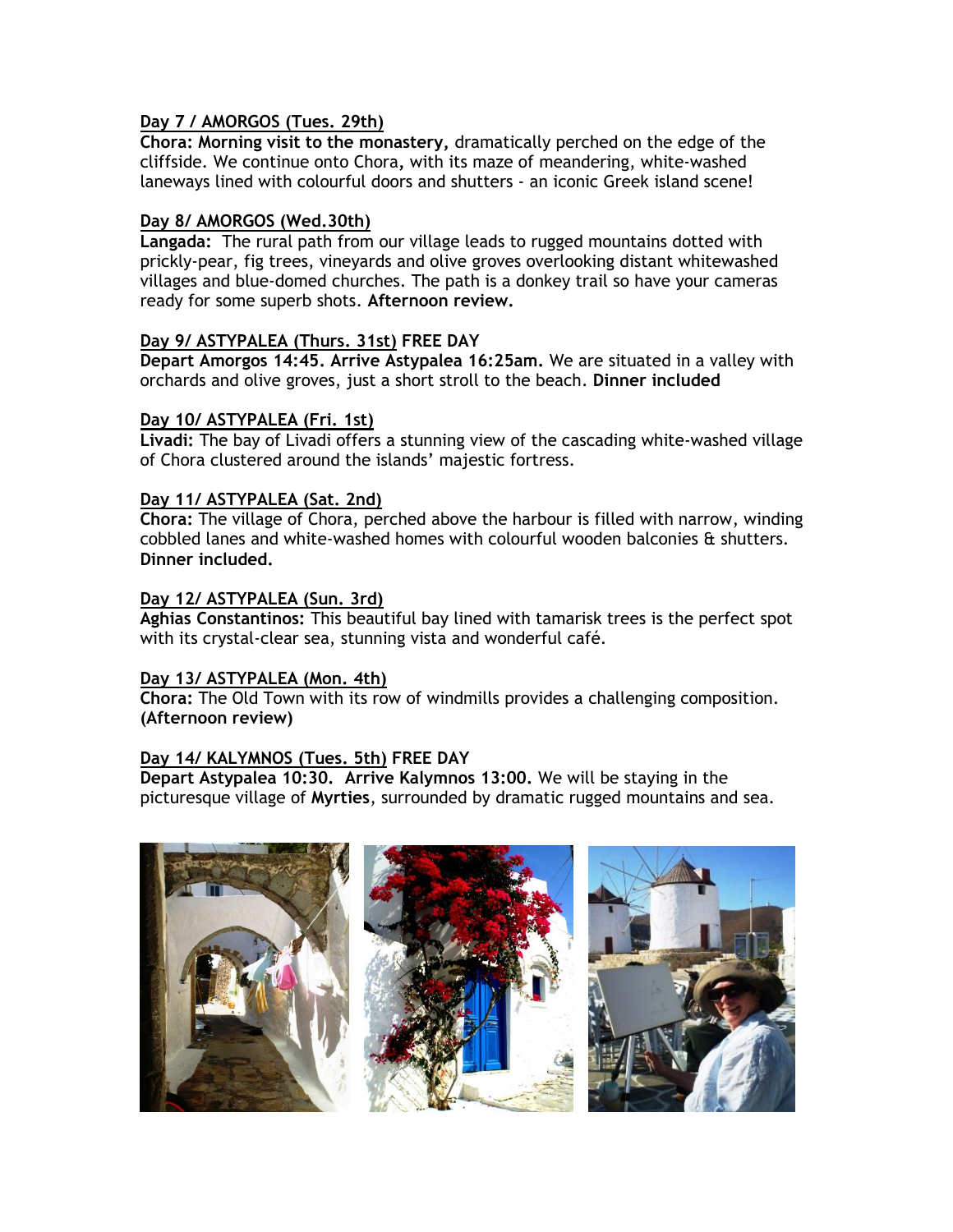#### **Day 7 / AMORGOS (Tues. 29th)**

**Chora: Morning visit to the monastery,** dramatically perched on the edge of the cliffside. We continue onto Chora**,** with its maze of meandering, white-washed laneways lined with colourful doors and shutters - an iconic Greek island scene!

#### **Day 8/ AMORGOS (Wed.30th)**

**Langada:** The rural path from our village leads to rugged mountains dotted with prickly-pear, fig trees, vineyards and olive groves overlooking distant whitewashed villages and blue-domed churches. The path is a donkey trail so have your cameras ready for some superb shots. **Afternoon review.**

#### **Day 9/ ASTYPALEA (Thurs. 31st) FREE DAY**

**Depart Amorgos 14:45. Arrive Astypalea 16:25am.** We are situated in a valley with orchards and olive groves, just a short stroll to the beach. **Dinner included**

#### **Day 10/ ASTYPALEA (Fri. 1st)**

**Livadi:** The bay of Livadi offers a stunning view of the cascading white-washed village of Chora clustered around the islands' majestic fortress.

#### **Day 11/ ASTYPALEA (Sat. 2nd)**

**Chora:** The village of Chora, perched above the harbour is filled with narrow, winding cobbled lanes and white-washed homes with colourful wooden balconies & shutters. **Dinner included.**

#### **Day 12/ ASTYPALEA (Sun. 3rd)**

**Aghias Constantinos:** This beautiful bay lined with tamarisk trees is the perfect spot with its crystal-clear sea, stunning vista and wonderful café.

#### **Day 13/ ASTYPALEA (Mon. 4th)**

**Chora:** The Old Town with its row of windmills provides a challenging composition. **(Afternoon review)**

#### **Day 14/ KALYMNOS (Tues. 5th) FREE DAY**

**Depart Astypalea 10:30. Arrive Kalymnos 13:00.** We will be staying in the picturesque village of **Myrties**, surrounded by dramatic rugged mountains and sea.